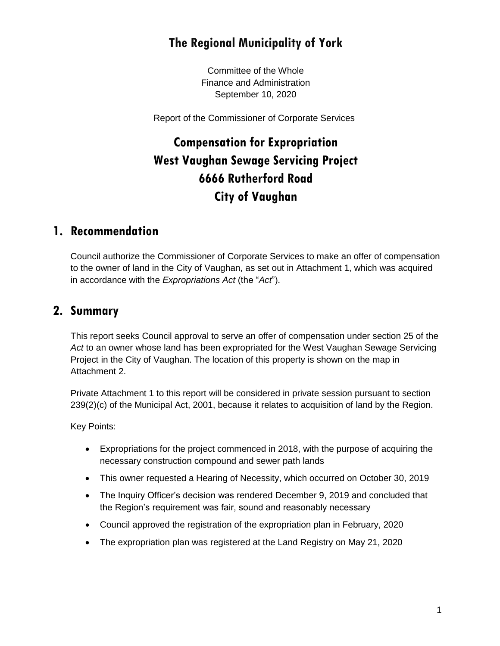## **The Regional Municipality of York**

Committee of the Whole Finance and Administration September 10, 2020

Report of the Commissioner of Corporate Services

# **Compensation for Expropriation West Vaughan Sewage Servicing Project 6666 Rutherford Road City of Vaughan**

### **1. Recommendation**

Council authorize the Commissioner of Corporate Services to make an offer of compensation to the owner of land in the City of Vaughan, as set out in Attachment 1, which was acquired in accordance with the *Expropriations Act* (the "*Act*").

### **2. Summary**

This report seeks Council approval to serve an offer of compensation under section 25 of the *Act* to an owner whose land has been expropriated for the West Vaughan Sewage Servicing Project in the City of Vaughan. The location of this property is shown on the map in Attachment 2.

Private Attachment 1 to this report will be considered in private session pursuant to section 239(2)(c) of the Municipal Act, 2001, because it relates to acquisition of land by the Region.

Key Points:

- Expropriations for the project commenced in 2018, with the purpose of acquiring the necessary construction compound and sewer path lands
- This owner requested a Hearing of Necessity, which occurred on October 30, 2019
- The Inquiry Officer's decision was rendered December 9, 2019 and concluded that the Region's requirement was fair, sound and reasonably necessary
- Council approved the registration of the expropriation plan in February, 2020
- The expropriation plan was registered at the Land Registry on May 21, 2020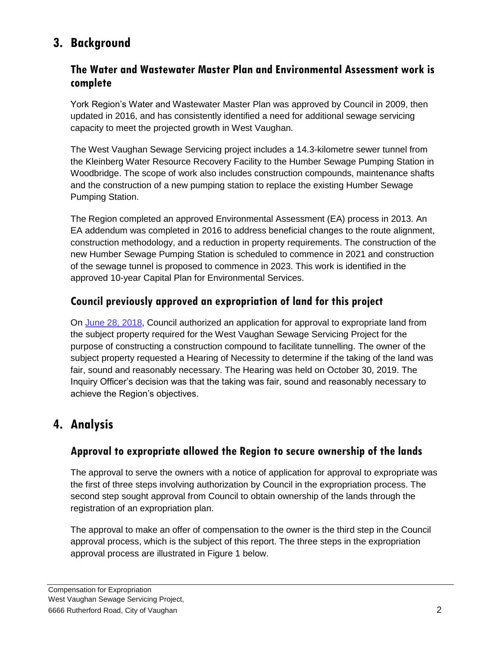## **3. Background**

#### **The Water and Wastewater Master Plan and Environmental Assessment work is complete**

York Region's Water and Wastewater Master Plan was approved by Council in 2009, then updated in 2016, and has consistently identified a need for additional sewage servicing capacity to meet the projected growth in West Vaughan.

The West Vaughan Sewage Servicing project includes a 14.3-kilometre sewer tunnel from the Kleinberg Water Resource Recovery Facility to the Humber Sewage Pumping Station in Woodbridge. The scope of work also includes construction compounds, maintenance shafts and the construction of a new pumping station to replace the existing Humber Sewage Pumping Station.

The Region completed an approved Environmental Assessment (EA) process in 2013. An EA addendum was completed in 2016 to address beneficial changes to the route alignment, construction methodology, and a reduction in property requirements. The construction of the new Humber Sewage Pumping Station is scheduled to commence in 2021 and construction of the sewage tunnel is proposed to commence in 2023. This work is identified in the approved 10-year Capital Plan for Environmental Services.

#### **Council previously approved an expropriation of land for this project**

On [June 28, 2018,](https://www.york.ca/wps/wcm/connect/yorkpublic/62f06eaf-ba71-4aea-9436-188639556843/jun+21+exp+west+ex.pdf?MOD=AJPERES&CVID=mu8A1hR) Council authorized an application for approval to expropriate land from the subject property required for the West Vaughan Sewage Servicing Project for the purpose of constructing a construction compound to facilitate tunnelling. The owner of the subject property requested a Hearing of Necessity to determine if the taking of the land was fair, sound and reasonably necessary. The Hearing was held on October 30, 2019. The Inquiry Officer's decision was that the taking was fair, sound and reasonably necessary to achieve the Region's objectives.

### **4. Analysis**

#### **Approval to expropriate allowed the Region to secure ownership of the lands**

The approval to serve the owners with a notice of application for approval to expropriate was the first of three steps involving authorization by Council in the expropriation process. The second step sought approval from Council to obtain ownership of the lands through the registration of an expropriation plan.

The approval to make an offer of compensation to the owner is the third step in the Council approval process, which is the subject of this report. The three steps in the expropriation approval process are illustrated in Figure 1 below.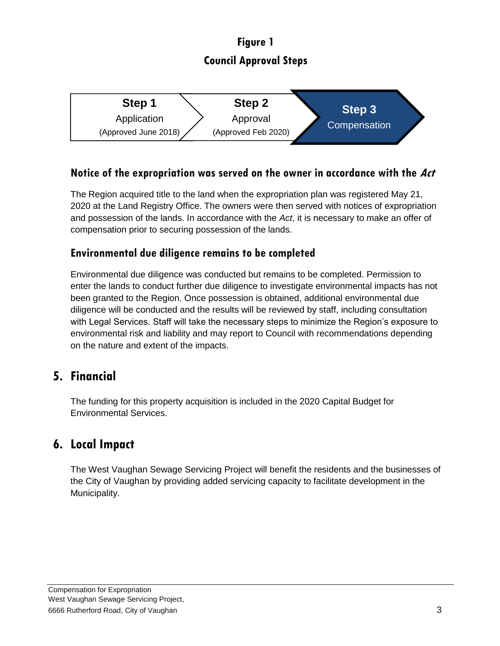# **Figure 1 Council Approval Steps**



#### **Notice of the expropriation was served on the owner in accordance with the Act**

The Region acquired title to the land when the expropriation plan was registered May 21, 2020 at the Land Registry Office. The owners were then served with notices of expropriation and possession of the lands. In accordance with the *Act*, it is necessary to make an offer of compensation prior to securing possession of the lands.

#### **Environmental due diligence remains to be completed**

Environmental due diligence was conducted but remains to be completed. Permission to enter the lands to conduct further due diligence to investigate environmental impacts has not been granted to the Region. Once possession is obtained, additional environmental due diligence will be conducted and the results will be reviewed by staff, including consultation with Legal Services. Staff will take the necessary steps to minimize the Region's exposure to environmental risk and liability and may report to Council with recommendations depending on the nature and extent of the impacts.

### **5. Financial**

The funding for this property acquisition is included in the 2020 Capital Budget for Environmental Services.

### **6. Local Impact**

The West Vaughan Sewage Servicing Project will benefit the residents and the businesses of the City of Vaughan by providing added servicing capacity to facilitate development in the Municipality.